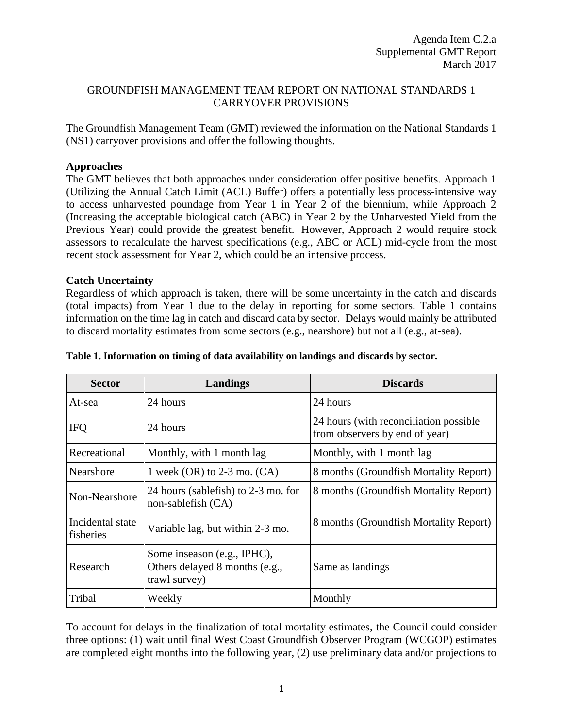### GROUNDFISH MANAGEMENT TEAM REPORT ON NATIONAL STANDARDS 1 CARRYOVER PROVISIONS

The Groundfish Management Team (GMT) reviewed the information on the National Standards 1 (NS1) carryover provisions and offer the following thoughts.

# **Approaches**

The GMT believes that both approaches under consideration offer positive benefits. Approach 1 (Utilizing the Annual Catch Limit (ACL) Buffer) offers a potentially less process-intensive way to access unharvested poundage from Year 1 in Year 2 of the biennium, while Approach 2 (Increasing the acceptable biological catch (ABC) in Year 2 by the Unharvested Yield from the Previous Year) could provide the greatest benefit. However, Approach 2 would require stock assessors to recalculate the harvest specifications (e.g., ABC or ACL) mid-cycle from the most recent stock assessment for Year 2, which could be an intensive process.

## **Catch Uncertainty**

Regardless of which approach is taken, there will be some uncertainty in the catch and discards (total impacts) from Year 1 due to the delay in reporting for some sectors. [Table 1](#page-0-0) contains information on the time lag in catch and discard data by sector. Delays would mainly be attributed to discard mortality estimates from some sectors (e.g., nearshore) but not all (e.g., at-sea).

| <b>Sector</b>                 | Landings                                                                       | <b>Discards</b>                                                           |
|-------------------------------|--------------------------------------------------------------------------------|---------------------------------------------------------------------------|
| At-sea                        | 24 hours                                                                       | 24 hours                                                                  |
| <b>IFQ</b>                    | 24 hours                                                                       | 24 hours (with reconciliation possible)<br>from observers by end of year) |
| Recreational                  | Monthly, with 1 month lag                                                      | Monthly, with 1 month lag                                                 |
| Nearshore                     | 1 week $(OR)$ to 2-3 mo. $(CA)$                                                | 8 months (Groundfish Mortality Report)                                    |
| Non-Nearshore                 | 24 hours (sablefish) to 2-3 mo. for<br>non-sable fish $(CA)$                   | 8 months (Groundfish Mortality Report)                                    |
| Incidental state<br>fisheries | Variable lag, but within 2-3 mo.                                               | 8 months (Groundfish Mortality Report)                                    |
| Research                      | Some inseason (e.g., IPHC),<br>Others delayed 8 months (e.g.,<br>trawl survey) | Same as landings                                                          |
| Tribal                        | Weekly                                                                         | Monthly                                                                   |

#### <span id="page-0-0"></span>**Table 1. Information on timing of data availability on landings and discards by sector.**

To account for delays in the finalization of total mortality estimates, the Council could consider three options: (1) wait until final West Coast Groundfish Observer Program (WCGOP) estimates are completed eight months into the following year, (2) use preliminary data and/or projections to